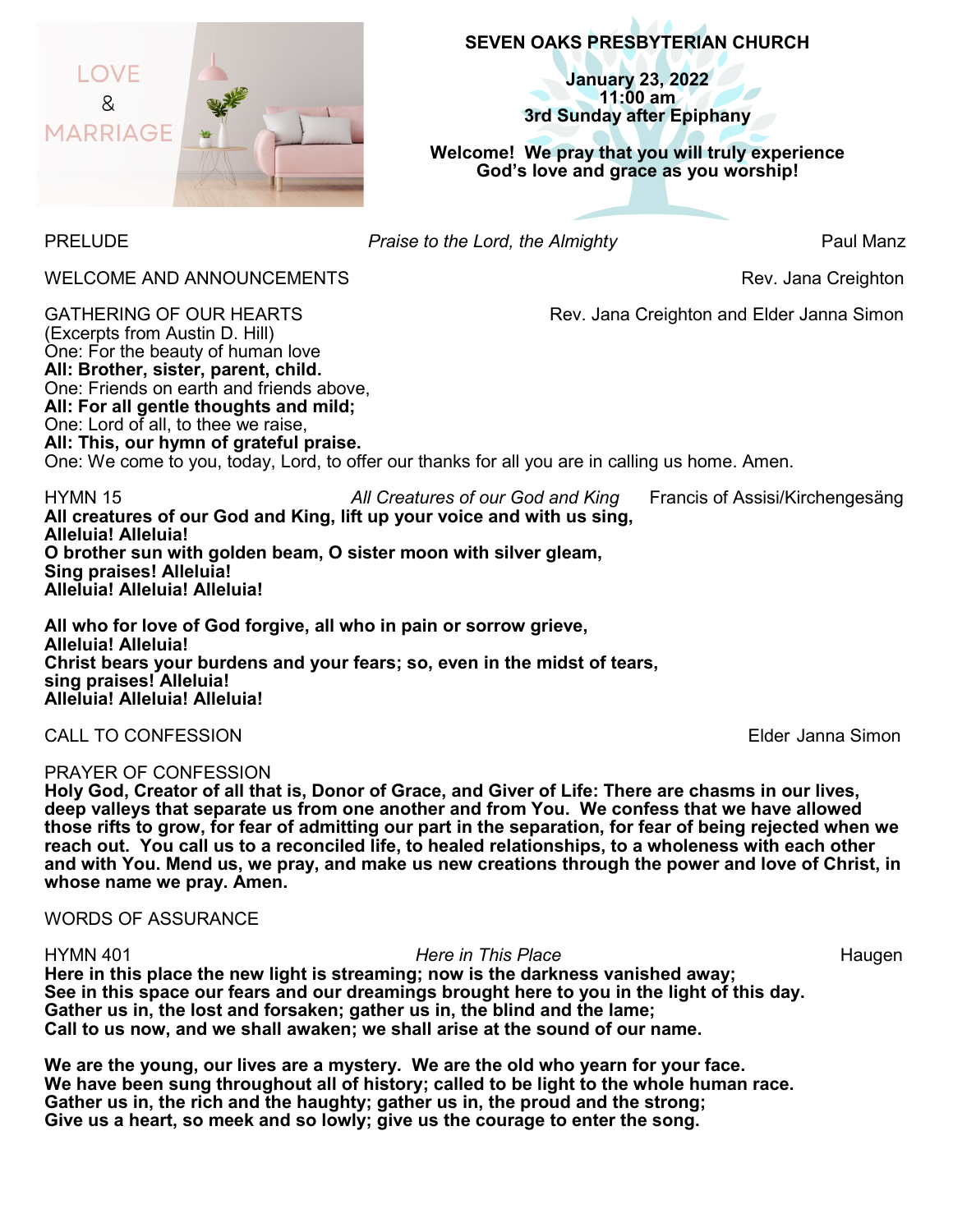

# **SEVEN OAKS PRESBYTERIAN CHURCH**

**January 23, 2022 11:00 am 3rd Sunday after Epiphany**

**Welcome!****We pray that you will truly experience God's love and grace as you worship!**

PRELUDE *Praise to the Lord, the Almighty* Paul Manz

WELCOME AND ANNOUNCEMENTS **Rev.** Jana Creighton

GATHERING OF OUR HEARTS **Rev. Jana Creighton and Elder Janna Simon** 

(Excerpts from Austin D. Hill) One: For the beauty of human love **All: Brother, sister, parent, child.** One: Friends on earth and friends above, **All: For all gentle thoughts and mild;** One: Lord of all, to thee we raise, **All: This, our hymn of grateful praise.** One: We come to you, today, Lord, to offer our thanks for all you are in calling us home. Amen.

HYMN 15 *All Creatures of our God and King* Francis of Assisi/Kirchengesäng **All creatures of our God and King, lift up your voice and with us sing, Alleluia! Alleluia! O brother sun with golden beam, O sister moon with silver gleam, Sing praises! Alleluia! Alleluia! Alleluia! Alleluia!** 

**All who for love of God forgive, all who in pain or sorrow grieve, Alleluia! Alleluia! Christ bears your burdens and your fears; so, even in the midst of tears, sing praises! Alleluia! Alleluia! Alleluia! Alleluia!** 

CALL TO CONFESSION Elder Janna Simon

## PRAYER OF CONFESSION

**Holy God, Creator of all that is, Donor of Grace, and Giver of Life: There are chasms in our lives, deep valleys that separate us from one another and from You. We confess that we have allowed those rifts to grow, for fear of admitting our part in the separation, for fear of being rejected when we reach out. You call us to a reconciled life, to healed relationships, to a wholeness with each other and with You. Mend us, we pray, and make us new creations through the power and love of Christ, in whose name we pray. Amen.**

WORDS OF ASSURANCE

#### HYMN 401 *Here in This Place* Haugen

**Here in this place the new light is streaming; now is the darkness vanished away; See in this space our fears and our dreamings brought here to you in the light of this day. Gather us in, the lost and forsaken; gather us in, the blind and the lame; Call to us now, and we shall awaken; we shall arise at the sound of our name.**

**We are the young, our lives are a mystery. We are the old who yearn for your face. We have been sung throughout all of history; called to be light to the whole human race. Gather us in, the rich and the haughty; gather us in, the proud and the strong; Give us a heart, so meek and so lowly; give us the courage to enter the song.**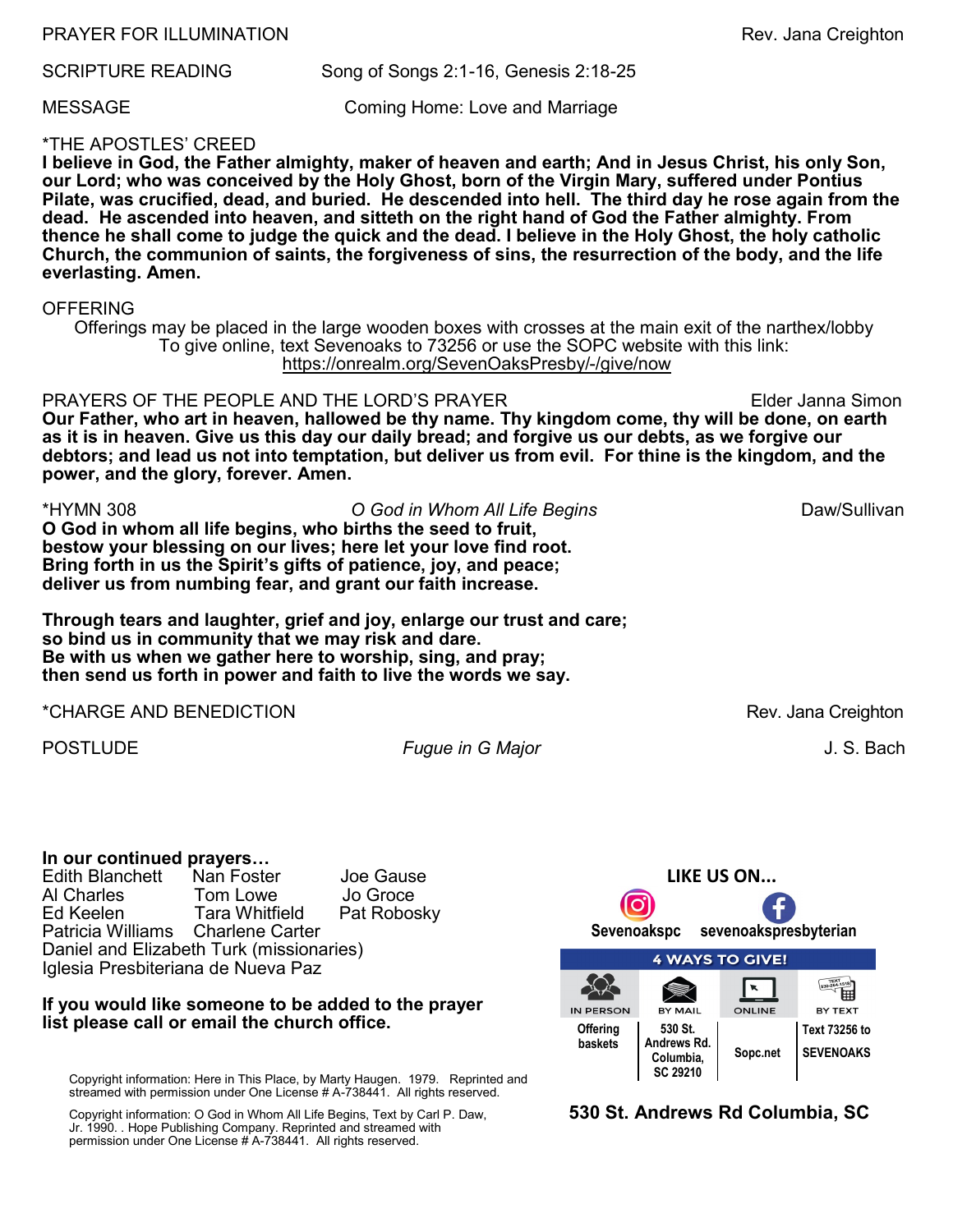PRAYER FOR ILLUMINATION **Rev. 3** and Series and Series and Series and Series and Series and Series and Series and Series and Series and Series and Series and Series and Series and Series and Series and Series and Series an

SCRIPTURE READING Song of Songs 2:1-16, Genesis 2:18-25

MESSAGE Coming Home: Love and Marriage

## \*THE APOSTLES' CREED

**I believe in God, the Father almighty, maker of heaven and earth; And in Jesus Christ, his only Son, our Lord; who was conceived by the Holy Ghost, born of the Virgin Mary, suffered under Pontius Pilate, was crucified, dead, and buried. He descended into hell. The third day he rose again from the dead. He ascended into heaven, and sitteth on the right hand of God the Father almighty. From thence he shall come to judge the quick and the dead. I believe in the Holy Ghost, the holy catholic Church, the communion of saints, the forgiveness of sins, the resurrection of the body, and the life everlasting. Amen.**

#### **OFFERING**

Offerings may be placed in the large wooden boxes with crosses at the main exit of the narthex/lobby To give online, text Sevenoaks to 73256 or use the SOPC website with this link: [https://onrealm.org/SevenOaksPresby/](https://onrealm.org/SevenOaksPresby/-/give/now)-/give/now

PRAYERS OF THE PEOPLE AND THE LORD'S PRAYER Elder Janna Simon **Our Father, who art in heaven, hallowed be thy name. Thy kingdom come, thy will be done, on earth as it is in heaven. Give us this day our daily bread; and forgive us our debts, as we forgive our debtors; and lead us not into temptation, but deliver us from evil. For thine is the kingdom, and the power, and the glory, forever. Amen.** 

\*HYMN 308 *O God in Whom All Life Begins* Daw/Sullivan **O God in whom all life begins, who births the seed to fruit, bestow your blessing on our lives; here let your love find root. Bring forth in us the Spirit's gifts of patience, joy, and peace; deliver us from numbing fear, and grant our faith increase.** 

**Through tears and laughter, grief and joy, enlarge our trust and care; so bind us in community that we may risk and dare. Be with us when we gather here to worship, sing, and pray; then send us forth in power and faith to live the words we say.** 

\*CHARGE AND BENEDICTION Rev. Jana Creighton

POSTLUDE *Fugue in G Major* J. S. Bach

## **In our continued prayers…**

Edith Blanchett Nan Foster Joe Gause Tom Lowe Ed Keelen Tara Whitfield Pat Robosky Patricia Williams Charlene Carter Daniel and Elizabeth Turk (missionaries) Iglesia Presbiteriana de Nueva Paz

## **If you would like someone to be added to the prayer list please call or email the church office.**

Copyright information: Here in This Place, by Marty Haugen. 1979. Reprinted and streamed with permission under One License # A-738441. All rights reserved.

Copyright information: O God in Whom All Life Begins, Text by Carl P. Daw, Jr. 1990. . Hope Publishing Company. Reprinted and streamed with permission under One License # A-738441. All rights reserved.



**530 St. Andrews Rd Columbia, SC**